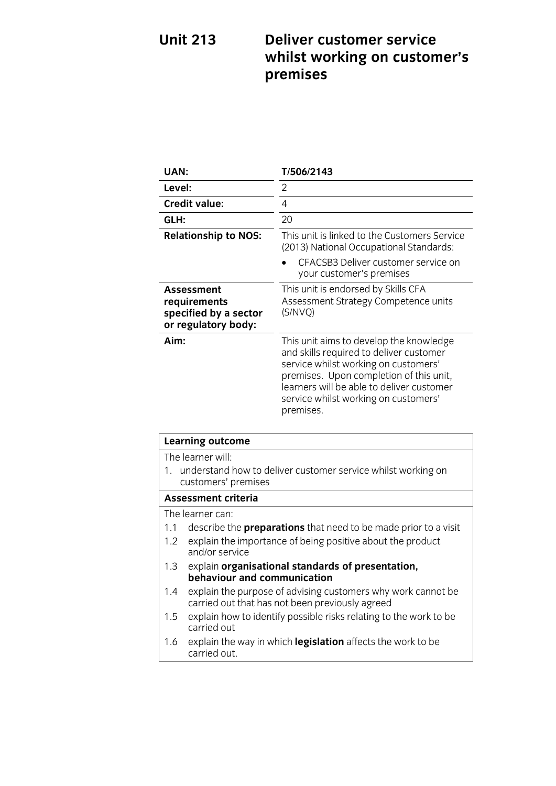### **Unit 213 Deliver customer service which would be working to consider the construction of the construction of the construction of the construction premises**

| UAN:                                                                              | T/506/2143                                                                                                                                                                                                                                                              |
|-----------------------------------------------------------------------------------|-------------------------------------------------------------------------------------------------------------------------------------------------------------------------------------------------------------------------------------------------------------------------|
| Level:                                                                            | 2                                                                                                                                                                                                                                                                       |
| <b>Credit value:</b>                                                              | 4                                                                                                                                                                                                                                                                       |
| GLH:                                                                              | 20                                                                                                                                                                                                                                                                      |
| <b>Relationship to NOS:</b>                                                       | This unit is linked to the Customers Service<br>(2013) National Occupational Standards:                                                                                                                                                                                 |
|                                                                                   | CFACSB3 Deliver customer service on<br>your customer's premises                                                                                                                                                                                                         |
| <b>Assessment</b><br>requirements<br>specified by a sector<br>or regulatory body: | This unit is endorsed by Skills CFA<br>Assessment Strategy Competence units<br>(S/NVO)                                                                                                                                                                                  |
| Aim:                                                                              | This unit aims to develop the knowledge<br>and skills required to deliver customer<br>service whilst working on customers'<br>premises. Upon completion of this unit,<br>learners will be able to deliver customer<br>service whilst working on customers'<br>premises. |

| Learning outcome    |                                                                                                                 |
|---------------------|-----------------------------------------------------------------------------------------------------------------|
| The learner will:   |                                                                                                                 |
|                     | 1. understand how to deliver customer service whilst working on<br>customers' premises                          |
| Assessment criteria |                                                                                                                 |
|                     | The learner can:                                                                                                |
| 1.1                 | describe the <b>preparations</b> that need to be made prior to a visit                                          |
| 1.2                 | explain the importance of being positive about the product<br>and/or service                                    |
| 1.3                 | explain organisational standards of presentation,<br>behaviour and communication                                |
| 1.4                 | explain the purpose of advising customers why work cannot be<br>carried out that has not been previously agreed |
| 1.5                 | explain how to identify possible risks relating to the work to be<br>carried out                                |
| 1.6                 | explain the way in which legislation affects the work to be<br>carried out                                      |

<u>carried out.</u>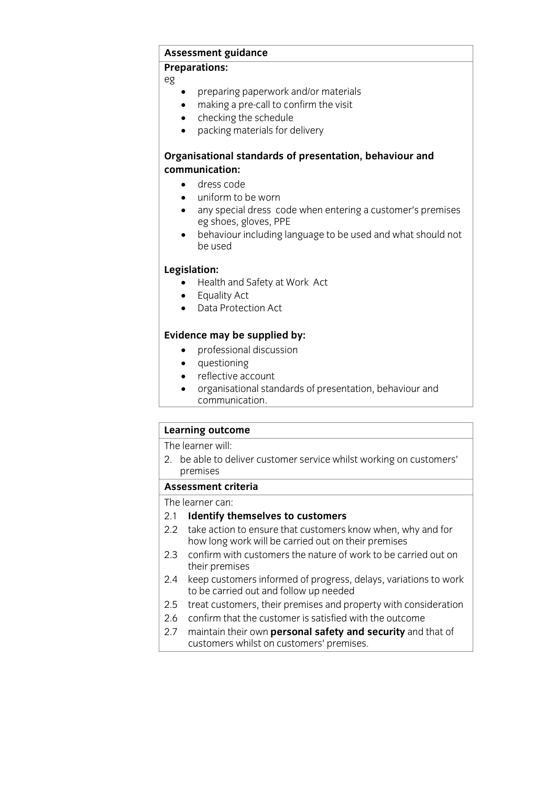## **Assessment guidance**

### **Preparations:**

 $\overline{a}$ 

- preparing paperwork and/or materials<br>• making a pre-call to confirm the visit
- making a pre-call to confirm the visit
- checking the schedule<br>• packing materials for d
- packing materials for delivery

# **Organisational standards of presentation, behaviour and**

- **c** dress code • dress code<br>• uniform to
- uniform to be worn
- any special dress code when entering a customer's premises eg shoes, gloves, PPE
- behaviour including language to be used and what should not<br>be used be used

- **Legislation:**<br> **Legislative Act**<br> **Legislative Act** 
	- Equality Act
	- Data Protection Act

- **Evidence may be supplied by:**<br> **e** professional discussion
	- questioning
	- reflective account
	- organisational standards of presentation, behaviour and
	- <u>communication</u>

## **Learning outcome**<br>The learner will:

 $\overline{2}$  he chloted. 2. be able to deliver customer service whilst working on customers' premises<br>Assessment criteria

The learner can:

### 2.1 Identify themselves to customers

- 2.2 take action to ensure that customers know when, why and for how long work will be carried out on their premises
- 2.3 confirm with customers the nature of work to be carried out on their premises
- 2.4 keep customers informed of progress, delays, variations to work to be carried out and follow up needed
- 2.5 treat customers, their premises and property with consideration
- 2.6 confirm that the customer is satisfied with the outcome
- 2.7 maintain their own **personal safety and security** and that of  $\frac{1}{2}$  mustomers whilst on customers' premises customers whilst on customers' premises.